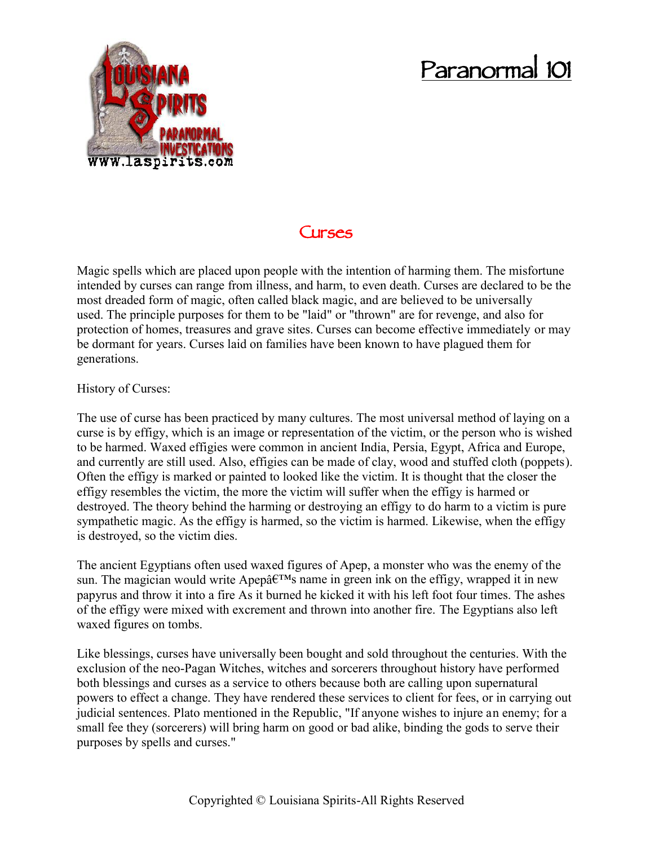## **Paranormal 101**



## **Curses**

Magic spells which are placed upon people with the intention of harming them. The misfortune intended by curses can range from illness, and harm, to even death. Curses are declared to be the most dreaded form of magic, often called black magic, and are believed to be universally used. The principle purposes for them to be "laid" or "thrown" are for revenge, and also for protection of homes, treasures and grave sites. Curses can become effective immediately or may be dormant for years. Curses laid on families have been known to have plagued them for generations.

History of Curses:

The use of curse has been practiced by many cultures. The most universal method of laying on a curse is by effigy, which is an image or representation of the victim, or the person who is wished to be harmed. Waxed effigies were common in ancient India, Persia, Egypt, Africa and Europe, and currently are still used. Also, effigies can be made of clay, wood and stuffed cloth (poppets). Often the effigy is marked or painted to looked like the victim. It is thought that the closer the effigy resembles the victim, the more the victim will suffer when the effigy is harmed or destroyed. The theory behind the harming or destroying an effigy to do harm to a victim is pure sympathetic magic. As the effigy is harmed, so the victim is harmed. Likewise, when the effigy is destroyed, so the victim dies.

The ancient Egyptians often used waxed figures of Apep, a monster who was the enemy of the sun. The magician would write Apep $\hat{a} \in T^{M}$ s name in green ink on the effigy, wrapped it in new papyrus and throw it into a fire As it burned he kicked it with his left foot four times. The ashes of the effigy were mixed with excrement and thrown into another fire. The Egyptians also left waxed figures on tombs.

Like blessings, curses have universally been bought and sold throughout the centuries. With the exclusion of the neo-Pagan Witches, witches and sorcerers throughout history have performed both blessings and curses as a service to others because both are calling upon supernatural powers to effect a change. They have rendered these services to client for fees, or in carrying out judicial sentences. Plato mentioned in the Republic, "If anyone wishes to injure an enemy; for a small fee they (sorcerers) will bring harm on good or bad alike, binding the gods to serve their purposes by spells and curses."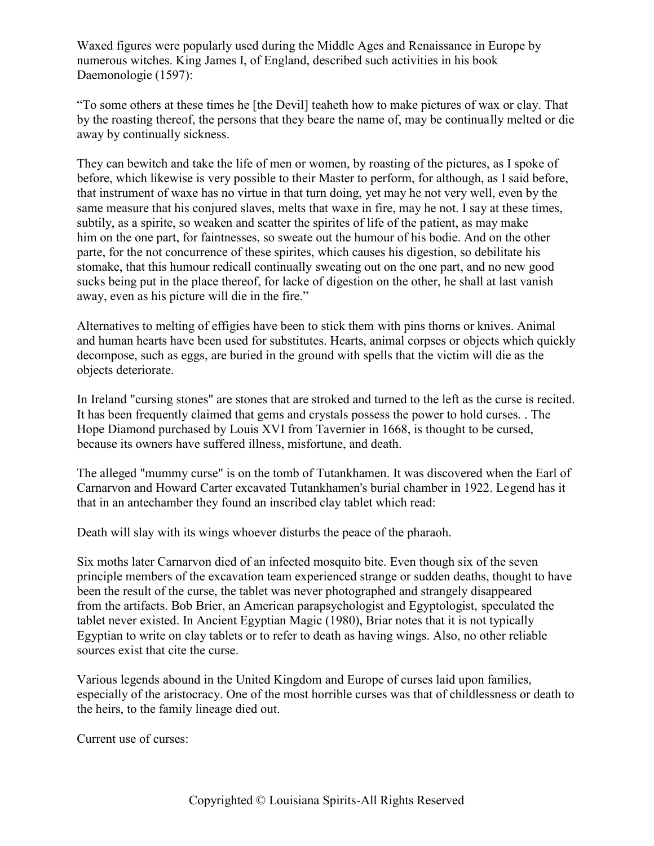Waxed figures were popularly used during the Middle Ages and Renaissance in Europe by numerous witches. King James I, of England, described such activities in his book Daemonologie (1597):

"To some others at these times he [the Devil] teaheth how to make pictures of wax or clay. That by the roasting thereof, the persons that they beare the name of, may be continually melted or die away by continually sickness.

They can bewitch and take the life of men or women, by roasting of the pictures, as I spoke of before, which likewise is very possible to their Master to perform, for although, as I said before, that instrument of waxe has no virtue in that turn doing, yet may he not very well, even by the same measure that his conjured slaves, melts that waxe in fire, may he not. I say at these times, subtily, as a spirite, so weaken and scatter the spirites of life of the patient, as may make him on the one part, for faintnesses, so sweate out the humour of his bodie. And on the other parte, for the not concurrence of these spirites, which causes his digestion, so debilitate his stomake, that this humour redicall continually sweating out on the one part, and no new good sucks being put in the place thereof, for lacke of digestion on the other, he shall at last vanish away, even as his picture will die in the fire."

Alternatives to melting of effigies have been to stick them with pins thorns or knives. Animal and human hearts have been used for substitutes. Hearts, animal corpses or objects which quickly decompose, such as eggs, are buried in the ground with spells that the victim will die as the objects deteriorate.

In Ireland "cursing stones" are stones that are stroked and turned to the left as the curse is recited. It has been frequently claimed that gems and crystals possess the power to hold curses. . The Hope Diamond purchased by Louis XVI from Tavernier in 1668, is thought to be cursed, because its owners have suffered illness, misfortune, and death.

The alleged "mummy curse" is on the tomb of Tutankhamen. It was discovered when the Earl of Carnarvon and Howard Carter excavated Tutankhamen's burial chamber in 1922. Legend has it that in an antechamber they found an inscribed clay tablet which read:

Death will slay with its wings whoever disturbs the peace of the pharaoh.

Six moths later Carnarvon died of an infected mosquito bite. Even though six of the seven principle members of the excavation team experienced strange or sudden deaths, thought to have been the result of the curse, the tablet was never photographed and strangely disappeared from the artifacts. Bob Brier, an American parapsychologist and Egyptologist, speculated the tablet never existed. In Ancient Egyptian Magic (1980), Briar notes that it is not typically Egyptian to write on clay tablets or to refer to death as having wings. Also, no other reliable sources exist that cite the curse.

Various legends abound in the United Kingdom and Europe of curses laid upon families, especially of the aristocracy. One of the most horrible curses was that of childlessness or death to the heirs, to the family lineage died out.

Current use of curses: